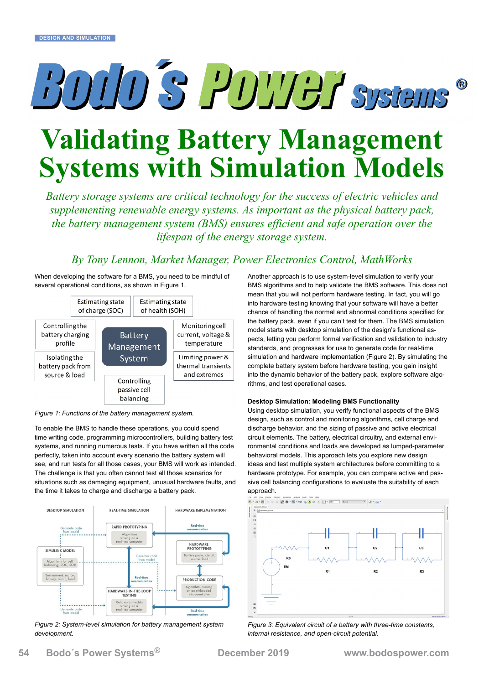# BOUD'S POWER Systems  $\circledR$

# **Validating Battery Management Systems with Simulation Models**

*Battery storage systems are critical technology for the success of electric vehicles and supplementing renewable energy systems. As important as the physical battery pack, the battery management system (BMS) ensures efficient and safe operation over the lifespan of the energy storage system.*

## *By Tony Lennon, Market Manager, Power Electronics Control, MathWorks*

When developing the software for a BMS, you need to be mindful of several operational conditions, as shown in Figure 1.



*Figure 1: Functions of the battery management system.*

To enable the BMS to handle these operations, you could spend time writing code, programming microcontrollers, building battery test systems, and running numerous tests. If you have written all the code perfectly, taken into account every scenario the battery system will see, and run tests for all those cases, your BMS will work as intended. The challenge is that you often cannot test all those scenarios for situations such as damaging equipment, unusual hardware faults, and the time it takes to charge and discharge a battery pack.



*Figure 2: System-level simulation for battery management system development.*

Another approach is to use system-level simulation to verify your BMS algorithms and to help validate the BMS software. This does not mean that you will not perform hardware testing. In fact, you will go into hardware testing knowing that your software will have a better chance of handling the normal and abnormal conditions specified for the battery pack, even if you can't test for them. The BMS simulation model starts with desktop simulation of the design's functional aspects, letting you perform formal verification and validation to industry standards, and progresses for use to generate code for real-time simulation and hardware implementation (Figure 2). By simulating the complete battery system before hardware testing, you gain insight into the dynamic behavior of the battery pack, explore software algorithms, and test operational cases.

### **Desktop Simulation: Modeling BMS Functionality**

Using desktop simulation, you verify functional aspects of the BMS design, such as control and monitoring algorithms, cell charge and discharge behavior, and the sizing of passive and active electrical circuit elements. The battery, electrical circuitry, and external environmental conditions and loads are developed as lumped-parameter behavioral models. This approach lets you [explore new design](https://www.mathworks.com/videos/battery-management-system-development-in-simulink-1523527694799.html?s_eid=PEP_20397)  [ideas and test multiple system architectures](https://www.mathworks.com/videos/battery-management-system-development-in-simulink-1523527694799.html?s_eid=PEP_20397) before committing to a hardware prototype. For example, you can compare active and passive cell balancing configurations to evaluate the suitability of each



*Figure 3: Equivalent circuit of a battery with three-time constants, internal resistance, and open-circuit potential.*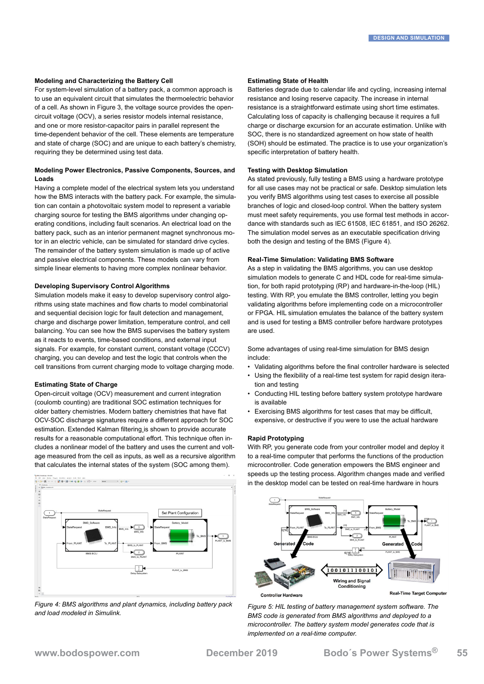#### **Modeling and Characterizing the Battery Cell**

For system-level simulation of a battery pack, a common approach is to use an equivalent circuit that simulates the thermoelectric behavior of a cell. As shown in Figure 3, the voltage source provides the opencircuit voltage (OCV), a series resistor models internal resistance, and one or more resistor-capacitor pairs in parallel represent the time-dependent behavior of the cell. These elements are temperature and state of charge (SOC) and are unique to each battery's chemistry, requiring they be [determined using test data.](https://www.mathworks.com/videos/automating-the-parameter-estimation-of-a-battery-model-95187.html?s_eid=PEP_20397)

### **Modeling Power Electronics, Passive Components, Sources, and Loads**

Having a complete model of the electrical system lets you understand how the BMS interacts with the battery pack. For example, the simulation can contain a photovoltaic system model to represent a variable charging source for testing the BMS algorithms under changing operating conditions, including fault scenarios. An electrical load on the battery pack, such as an interior permanent magnet synchronous motor in an electric vehicle, can be simulated for standard drive cycles. The remainder of the battery system simulation is made up of active and passive electrical components. These models can vary from simple linear elements to having more complex nonlinear behavior.

#### **Developing Supervisory Control Algorithms**

Simulation models make it easy to develop supervisory control algorithms using state machines and flow charts to model combinatorial and sequential decision logic for fault detection and management, charge and discharge power limitation, temperature control, and cell balancing. You can see how the BMS supervises the battery system as it reacts to events, time-based conditions, and external input signals. For example, for constant current, constant voltage (CCCV) charging, you can develop and test the logic that controls when the cell transitions from current charging mode to voltage charging mode.

#### **Estimating State of Charge**

Open-circuit voltage (OCV) measurement and current integration (coulomb counting) are traditional SOC estimation techniques for older battery chemistries. Modern battery chemistries that have flat OCV-SOC discharge signatures require a different approach for SOC estimation. [Extended Kalman filtering](https://www.mathworks.com/company/newsletters/articles/state-of-charge-estimation-based-on-an-extended-kalman-filter.html?s_eid=PEP_20397) is shown to provide accurate results for a reasonable computational effort. This technique often includes a nonlinear model of the battery and uses the current and voltage measured from the cell as inputs, as well as a recursive algorithm that calculates the internal states of the system (SOC among them).



*Figure 4: BMS algorithms and plant dynamics, including battery pack and load modeled in Simulink.*

#### **Estimating State of Health**

Batteries degrade due to calendar life and cycling, increasing internal resistance and losing reserve capacity. The increase in internal resistance is a straightforward estimate using short time estimates. Calculating loss of capacity is challenging because it requires a full charge or discharge excursion for an accurate estimation. Unlike with SOC, there is no standardized agreement on how state of health (SOH) should be estimated. The practice is to use your organization's specific interpretation of battery health.

#### **Testing with Desktop Simulation**

As stated previously, fully testing a BMS using a hardware prototype for all use cases may not be practical or safe. Desktop simulation lets you verify BMS algorithms using test cases to exercise all possible branches of logic and closed-loop control. When the battery system must meet safety requirements, you use formal test methods in accordance with standards such as IEC 61508, IEC 61851, and ISO 26262. The simulation model serves as an executable specification driving both the design and testing of the BMS (Figure 4).

#### **Real-Time Simulation: Validating BMS Software**

As a step in validating the BMS algorithms, you can use desktop simulation models to generate C and HDL code for real-time simulation, for both rapid prototyping (RP) and hardware-in-the-loop (HIL) testing. With RP, you emulate the BMS controller, letting you begin validating algorithms before implementing code on a microcontroller or FPGA. HIL simulation emulates the balance of the battery system and is used for testing a BMS controller before hardware prototypes are used.

Some advantages of using real-time simulation for BMS design include:

- Validating algorithms before the final controller hardware is selected
- Using the flexibility of a real-time test system for rapid design iteration and testing
- Conducting HIL testing before battery system prototype hardware is available
- Exercising BMS algorithms for test cases that may be difficult, expensive, or destructive if you were to use the actual hardware

#### **Rapid Prototyping**

With RP, you generate code from your controller model and deploy it to a real-time computer that performs the functions of the production microcontroller. Code generation empowers the BMS engineer and speeds up the testing process. Algorithm changes made and verified in the desktop model can be tested on real-time hardware in hours



**Real-Time Target Computer** 

*Figure 5: HIL testing of battery management system software. The BMS code is generated from BMS algorithms and deployed to a microcontroller. The battery system model generates code that is implemented on a real-time computer.*